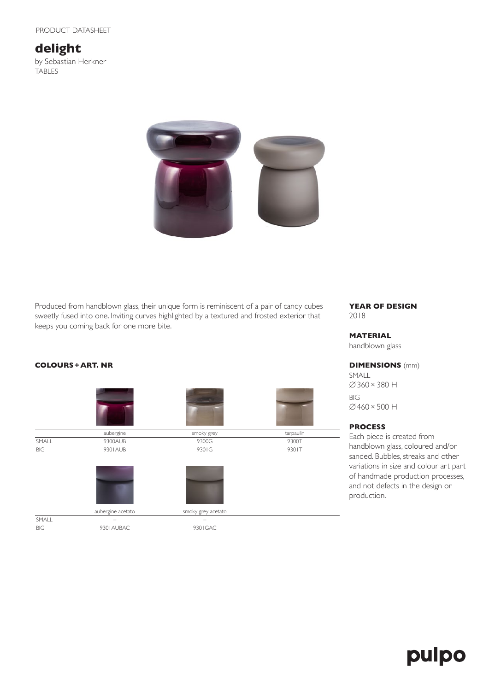# **delight**

by Sebastian Herkner TABLES



Produced from handblown glass, their unique form is reminiscent of a pair of candy cubes sweetly fused into one. Inviting curves highlighted by a textured and frosted exterior that keeps you coming back for one more bite.

## **COLOURS+ART. NR**



#### **YEAR OF DESIGN** 2018

#### **MATERIAL**

handblown glass

#### **DIMENSIONS** (mm)

SMALL ∅360×380 H BIG ∅460×500 H

### **PROCESS**

Each piece is created from handblown glass, coloured and/or sanded. Bubbles, streaks and other variations in size and colour art part of handmade production processes, and not defects in the design or production.

# pulpo